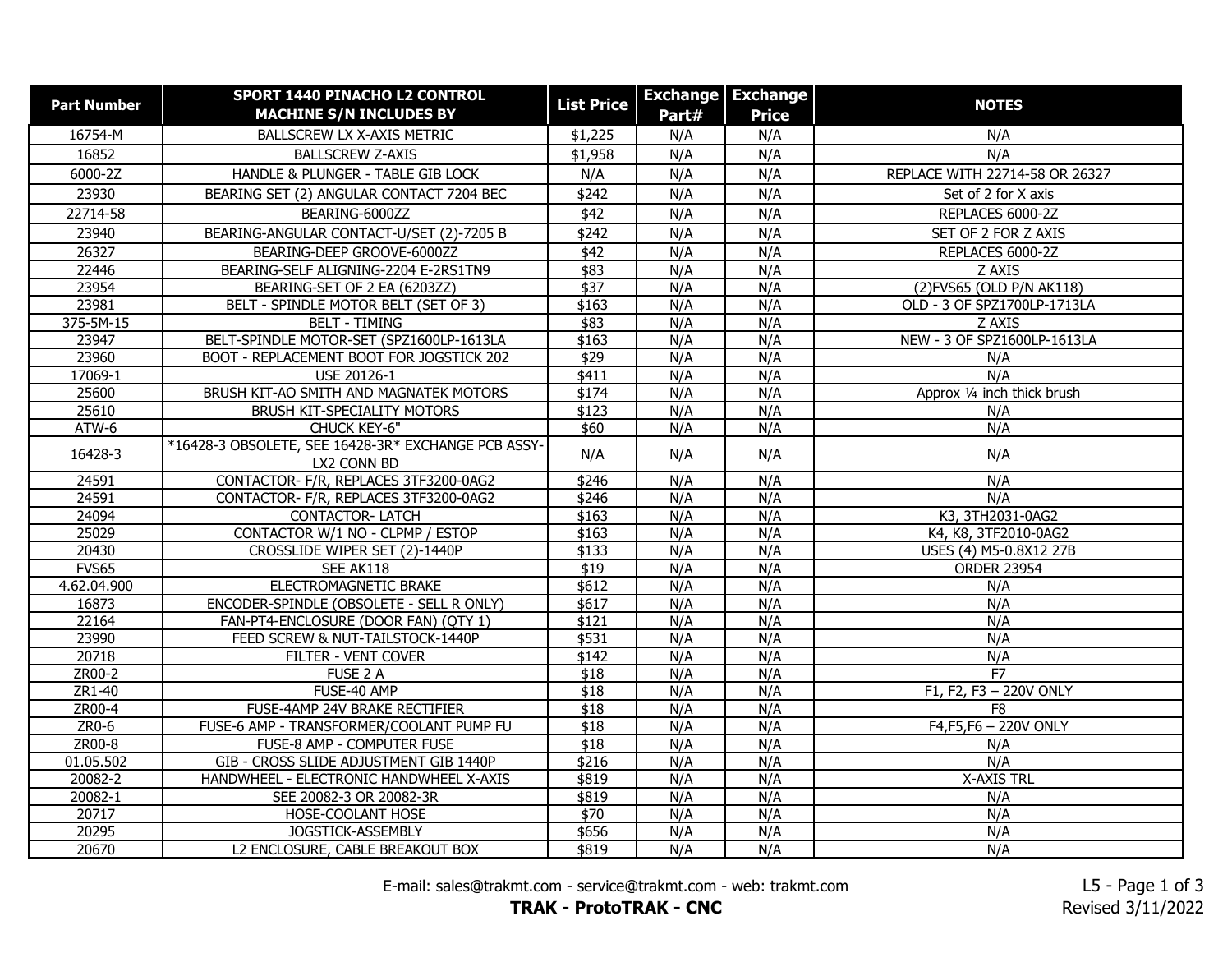| <b>Part Number</b> | <b>SPORT 1440 PINACHO L2 CONTROL</b><br><b>MACHINE S/N INCLUDES BY</b> | <b>List Price</b> | Part# | <b>Exchange Exchange</b><br><b>Price</b> | <b>NOTES</b>                   |
|--------------------|------------------------------------------------------------------------|-------------------|-------|------------------------------------------|--------------------------------|
| 16754-M            | BALLSCREW LX X-AXIS METRIC                                             | \$1,225           | N/A   | N/A                                      | N/A                            |
| 16852              | <b>BALLSCREW Z-AXIS</b>                                                | \$1,958           | N/A   | N/A                                      | N/A                            |
| 6000-2Z            | HANDLE & PLUNGER - TABLE GIB LOCK                                      | N/A               | N/A   | N/A                                      | REPLACE WITH 22714-58 OR 26327 |
| 23930              | BEARING SET (2) ANGULAR CONTACT 7204 BEC                               | \$242             | N/A   | N/A                                      | Set of 2 for X axis            |
| 22714-58           | BEARING-6000ZZ                                                         | \$42              | N/A   | N/A                                      | REPLACES 6000-2Z               |
| 23940              | BEARING-ANGULAR CONTACT-U/SET (2)-7205 B                               | \$242             | N/A   | N/A                                      | SET OF 2 FOR Z AXIS            |
| 26327              | BEARING-DEEP GROOVE-6000ZZ                                             | \$42              | N/A   | N/A                                      | REPLACES 6000-2Z               |
| 22446              | BEARING-SELF ALIGNING-2204 E-2RS1TN9                                   | \$83              | N/A   | N/A                                      | Z AXIS                         |
| 23954              | BEARING-SET OF 2 EA (6203ZZ)                                           | $\sqrt{$37}$      | N/A   | N/A                                      | (2) FVS65 (OLD P/N AK118)      |
| 23981              | BELT - SPINDLE MOTOR BELT (SET OF 3)                                   | \$163             | N/A   | N/A                                      | OLD - 3 OF SPZ1700LP-1713LA    |
| 375-5M-15          | <b>BELT - TIMING</b>                                                   | \$83              | N/A   | N/A                                      | Z AXIS                         |
| 23947              | BELT-SPINDLE MOTOR-SET (SPZ1600LP-1613LA                               | \$163             | N/A   | N/A                                      | NEW - 3 OF SPZ1600LP-1613LA    |
| 23960              | BOOT - REPLACEMENT BOOT FOR JOGSTICK 202                               | $\sqrt{$29}$      | N/A   | N/A                                      | N/A                            |
| 17069-1            | USE 20126-1                                                            | \$411             | N/A   | N/A                                      | N/A                            |
| 25600              | BRUSH KIT-AO SMITH AND MAGNATEK MOTORS                                 | \$174             | N/A   | N/A                                      | Approx 1/4 inch thick brush    |
| 25610              | <b>BRUSH KIT-SPECIALITY MOTORS</b>                                     | \$123             | N/A   | N/A                                      | N/A                            |
| ATW-6              | CHUCK KEY-6"                                                           | \$60              | N/A   | N/A                                      | N/A                            |
| 16428-3            | *16428-3 OBSOLETE, SEE 16428-3R* EXCHANGE PCB ASSY-<br>LX2 CONN BD     | N/A               | N/A   | N/A                                      | N/A                            |
| 24591              | CONTACTOR- F/R, REPLACES 3TF3200-0AG2                                  | \$246             | N/A   | N/A                                      | N/A                            |
| 24591              | CONTACTOR- F/R, REPLACES 3TF3200-0AG2                                  | \$246             | N/A   | N/A                                      | N/A                            |
| 24094              | <b>CONTACTOR-LATCH</b>                                                 | \$163             | N/A   | N/A                                      | K3, 3TH2031-0AG2               |
| 25029              | CONTACTOR W/1 NO - CLPMP / ESTOP                                       | \$163             | N/A   | N/A                                      | K4, K8, 3TF2010-0AG2           |
| 20430              | CROSSLIDE WIPER SET (2)-1440P                                          | \$133             | N/A   | N/A                                      | USES (4) M5-0.8X12 27B         |
| FVS65              | SEE AK118                                                              | \$19              | N/A   | N/A                                      | <b>ORDER 23954</b>             |
| 4.62.04.900        | ELECTROMAGNETIC BRAKE                                                  | \$612             | N/A   | N/A                                      | N/A                            |
| 16873              | ENCODER-SPINDLE (OBSOLETE - SELL R ONLY)                               | \$617             | N/A   | N/A                                      | N/A                            |
| 22164              | FAN-PT4-ENCLOSURE (DOOR FAN) (QTY 1)                                   | \$121             | N/A   | N/A                                      | N/A                            |
| 23990              | FEED SCREW & NUT-TAILSTOCK-1440P                                       | \$531             | N/A   | N/A                                      | N/A                            |
| 20718              | FILTER - VENT COVER                                                    | \$142             | N/A   | N/A                                      | N/A                            |
| ZR00-2             | FUSE 2 A                                                               | \$18              | N/A   | N/A                                      | F7                             |
| ZR1-40             | FUSE-40 AMP                                                            | $\overline{$18}$  | N/A   | N/A                                      | F1, F2, F3 - 220V ONLY         |
| ZR00-4             | FUSE-4AMP 24V BRAKE RECTIFIER                                          | $\overline{$18}$  | N/A   | N/A                                      | F <sub>8</sub>                 |
| $ZR0-6$            | FUSE-6 AMP - TRANSFORMER/COOLANT PUMP FU                               | \$18              | N/A   | N/A                                      | $F4$ , $F5$ , $F6 - 220V$ ONLY |
| ZR00-8             | FUSE-8 AMP - COMPUTER FUSE                                             | \$18              | N/A   | N/A                                      | N/A                            |
| 01.05.502          | GIB - CROSS SLIDE ADJUSTMENT GIB 1440P                                 | \$216             | N/A   | N/A                                      | N/A                            |
| 20082-2            | HANDWHEEL - ELECTRONIC HANDWHEEL X-AXIS                                | \$819             | N/A   | N/A                                      | <b>X-AXIS TRL</b>              |
| 20082-1            | SEE 20082-3 OR 20082-3R                                                | \$819             | N/A   | N/A                                      | N/A                            |
| 20717              | HOSE-COOLANT HOSE                                                      | $\sqrt{$70}$      | N/A   | N/A                                      | N/A                            |
| 20295              | JOGSTICK-ASSEMBLY                                                      | \$656             | N/A   | N/A                                      | N/A                            |
| 20670              | L2 ENCLOSURE, CABLE BREAKOUT BOX                                       | \$819             | N/A   | N/A                                      | N/A                            |

E-mail: sales@trakmt.com - service@trakmt.com - web: trakmt.com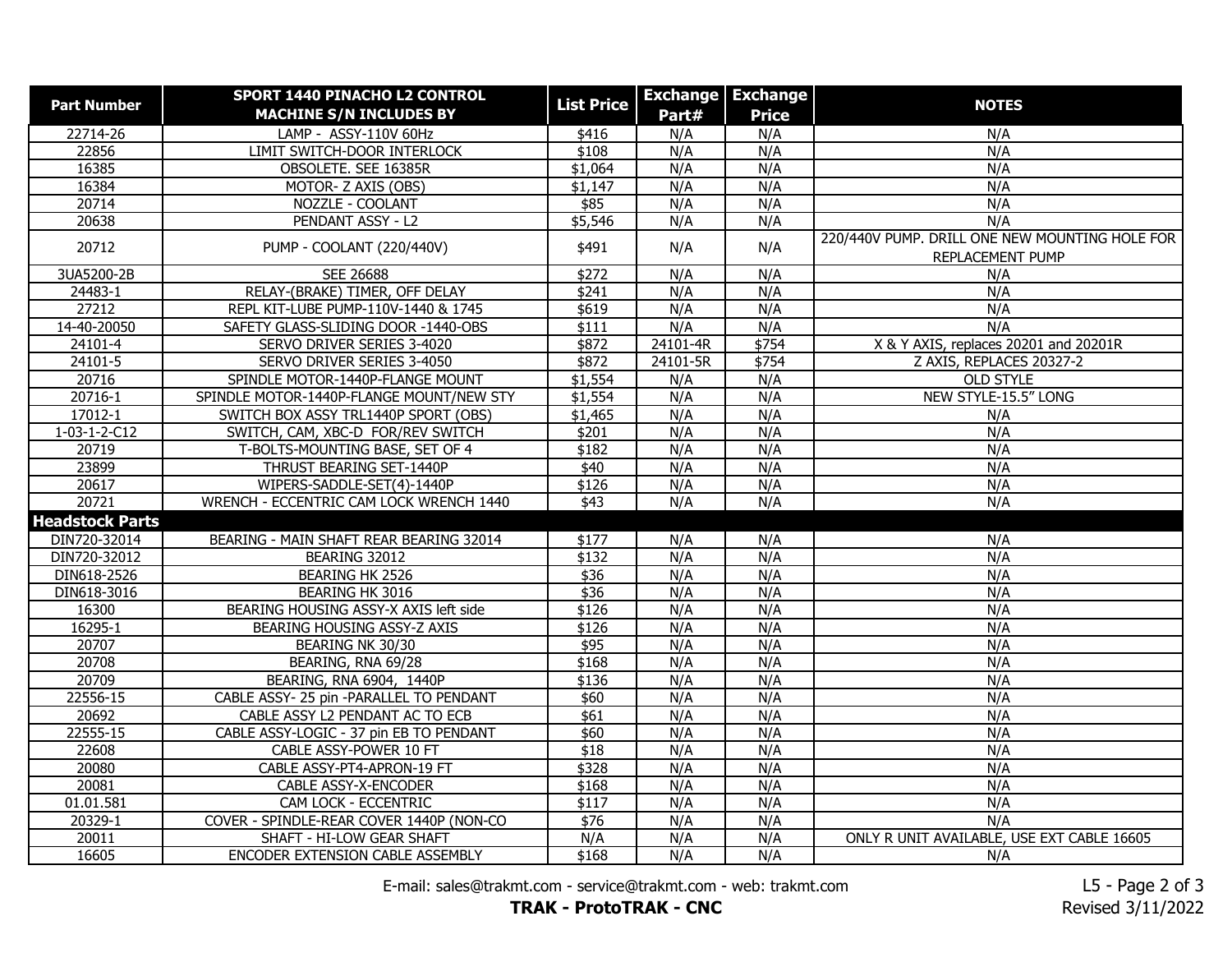| <b>Part Number</b>     | SPORT 1440 PINACHO L2 CONTROL            | <b>List Price</b> |          | <b>Exchange Exchange</b> | <b>NOTES</b>                                                       |
|------------------------|------------------------------------------|-------------------|----------|--------------------------|--------------------------------------------------------------------|
|                        | <b>MACHINE S/N INCLUDES BY</b>           |                   | Part#    | <b>Price</b>             |                                                                    |
| 22714-26               | LAMP - ASSY-110V 60Hz                    | \$416             | N/A      | N/A                      | N/A                                                                |
| 22856                  | LIMIT SWITCH-DOOR INTERLOCK              | \$108             | N/A      | N/A                      | N/A                                                                |
| 16385                  | OBSOLETE. SEE 16385R                     | \$1,064           | N/A      | N/A                      | N/A                                                                |
| 16384                  | MOTOR- Z AXIS (OBS)                      | \$1,147           | N/A      | N/A                      | N/A                                                                |
| 20714                  | NOZZLE - COOLANT                         | \$85              | N/A      | N/A                      | N/A                                                                |
| 20638                  | PENDANT ASSY - L2                        | \$5,546           | N/A      | N/A                      | N/A                                                                |
| 20712                  | PUMP - COOLANT (220/440V)                | \$491             | N/A      | N/A                      | 220/440V PUMP. DRILL ONE NEW MOUNTING HOLE FOR<br>REPLACEMENT PUMP |
| 3UA5200-2B             | SEE 26688                                | \$272             | N/A      | N/A                      | N/A                                                                |
| 24483-1                | RELAY-(BRAKE) TIMER, OFF DELAY           | \$241             | N/A      | N/A                      | N/A                                                                |
| 27212                  | REPL KIT-LUBE PUMP-110V-1440 & 1745      | \$619             | N/A      | N/A                      | N/A                                                                |
| 14-40-20050            | SAFETY GLASS-SLIDING DOOR -1440-OBS      | \$111             | N/A      | N/A                      | N/A                                                                |
| 24101-4                | SERVO DRIVER SERIES 3-4020               | \$872             | 24101-4R | \$754                    | X & Y AXIS, replaces 20201 and 20201R                              |
| 24101-5                | SERVO DRIVER SERIES 3-4050               | \$872             | 24101-5R | \$754                    | Z AXIS, REPLACES 20327-2                                           |
| 20716                  | SPINDLE MOTOR-1440P-FLANGE MOUNT         | \$1,554           | N/A      | N/A                      | OLD STYLE                                                          |
| 20716-1                | SPINDLE MOTOR-1440P-FLANGE MOUNT/NEW STY | \$1,554           | N/A      | N/A                      | NEW STYLE-15.5" LONG                                               |
| $17012 - 1$            | SWITCH BOX ASSY TRL1440P SPORT (OBS)     | \$1,465           | N/A      | N/A                      | N/A                                                                |
| 1-03-1-2-C12           | SWITCH, CAM, XBC-D FOR/REV SWITCH        | \$201             | N/A      | N/A                      | N/A                                                                |
| 20719                  | T-BOLTS-MOUNTING BASE, SET OF 4          | \$182             | N/A      | N/A                      | N/A                                                                |
| 23899                  | THRUST BEARING SET-1440P                 | \$40              | N/A      | N/A                      | N/A                                                                |
| 20617                  | WIPERS-SADDLE-SET(4)-1440P               | \$126             | N/A      | N/A                      | N/A                                                                |
| 20721                  | WRENCH - ECCENTRIC CAM LOCK WRENCH 1440  | \$43              | N/A      | N/A                      | N/A                                                                |
| <b>Headstock Parts</b> |                                          |                   |          |                          |                                                                    |
| DIN720-32014           | BEARING - MAIN SHAFT REAR BEARING 32014  | \$177             | N/A      | N/A                      | N/A                                                                |
| DIN720-32012           | BEARING 32012                            | $\sqrt{$132}$     | N/A      | N/A                      | N/A                                                                |
| DIN618-2526            | BEARING HK 2526                          | \$36              | N/A      | N/A                      | N/A                                                                |
| DIN618-3016            | <b>BEARING HK 3016</b>                   | \$36              | N/A      | N/A                      | N/A                                                                |
| 16300                  | BEARING HOUSING ASSY-X AXIS left side    | \$126             | N/A      | N/A                      | N/A                                                                |
| 16295-1                | BEARING HOUSING ASSY-Z AXIS              | \$126             | N/A      | N/A                      | N/A                                                                |
| 20707                  | <b>BEARING NK 30/30</b>                  | \$95              | N/A      | N/A                      | N/A                                                                |
| 20708                  | BEARING, RNA 69/28                       | \$168             | N/A      | N/A                      | N/A                                                                |
| 20709                  | BEARING, RNA 6904, 1440P                 | \$136             | N/A      | N/A                      | N/A                                                                |
| 22556-15               | CABLE ASSY- 25 pin -PARALLEL TO PENDANT  | \$60              | N/A      | N/A                      | N/A                                                                |
| 20692                  | CABLE ASSY L2 PENDANT AC TO ECB          | \$61              | N/A      | N/A                      | N/A                                                                |
| 22555-15               | CABLE ASSY-LOGIC - 37 pin EB TO PENDANT  | \$60              | N/A      | N/A                      | N/A                                                                |
| 22608                  | CABLE ASSY-POWER 10 FT                   | \$18              | N/A      | N/A                      | N/A                                                                |
| 20080                  | CABLE ASSY-PT4-APRON-19 FT               | \$328             | N/A      | N/A                      | N/A                                                                |
| 20081                  | <b>CABLE ASSY-X-ENCODER</b>              | \$168             | N/A      | N/A                      | N/A                                                                |
| 01.01.581              | CAM LOCK - ECCENTRIC                     | \$117             | N/A      | N/A                      | N/A                                                                |
| 20329-1                | COVER - SPINDLE-REAR COVER 1440P (NON-CO | $\sqrt{$76}$      | N/A      | N/A                      | N/A                                                                |
| 20011                  | SHAFT - HI-LOW GEAR SHAFT                | N/A               | N/A      | N/A                      | ONLY R UNIT AVAILABLE, USE EXT CABLE 16605                         |
| 16605                  | ENCODER EXTENSION CABLE ASSEMBLY         | \$168             | N/A      | N/A                      | N/A                                                                |

E-mail: sales@trakmt.com - service@trakmt.com - web: trakmt.com